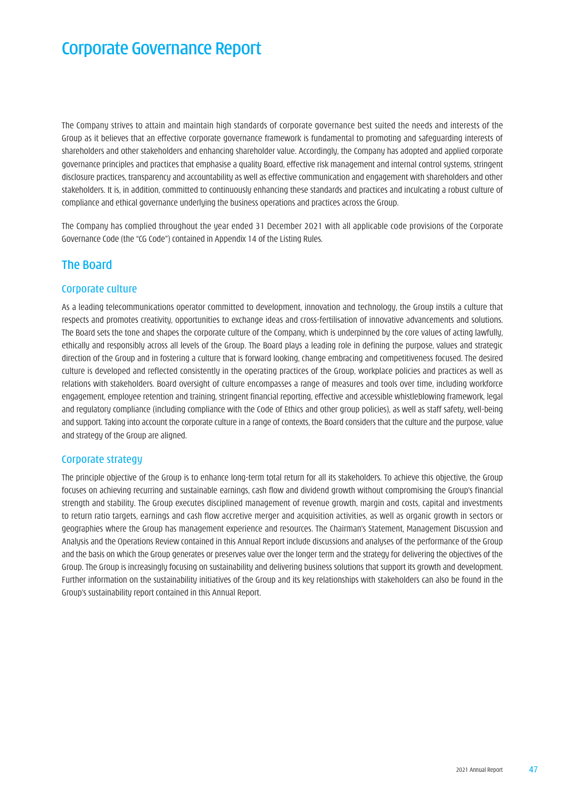# Corporate Governance Report

The Company strives to attain and maintain high standards of corporate governance best suited the needs and interests of the Group as it believes that an effective corporate governance framework is fundamental to promoting and safeguarding interests of shareholders and other stakeholders and enhancing shareholder value. Accordingly, the Company has adopted and applied corporate governance principles and practices that emphasise a quality Board, effective risk management and internal control systems, stringent disclosure practices, transparency and accountability as well as effective communication and engagement with shareholders and other stakeholders. It is, in addition, committed to continuously enhancing these standards and practices and inculcating a robust culture of compliance and ethical governance underlying the business operations and practices across the Group.

The Company has complied throughout the year ended 31 December 2021 with all applicable code provisions of the Corporate Governance Code (the "CG Code") contained in Appendix 14 of the Listing Rules.

# The Board

#### Corporate culture

As a leading telecommunications operator committed to development, innovation and technology, the Group instils a culture that respects and promotes creativity, opportunities to exchange ideas and cross-fertilisation of innovative advancements and solutions. The Board sets the tone and shapes the corporate culture of the Company, which is underpinned by the core values of acting lawfully, ethically and responsibly across all levels of the Group. The Board plays a leading role in defining the purpose, values and strategic direction of the Group and in fostering a culture that is forward looking, change embracing and competitiveness focused. The desired culture is developed and reflected consistently in the operating practices of the Group, workplace policies and practices as well as relations with stakeholders. Board oversight of culture encompasses a range of measures and tools over time, including workforce engagement, employee retention and training, stringent financial reporting, effective and accessible whistleblowing framework, legal and regulatory compliance (including compliance with the Code of Ethics and other group policies), as well as staff safety, well-being and support. Taking into account the corporate culture in a range of contexts, the Board considers that the culture and the purpose, value and strategy of the Group are aligned.

#### Corporate strategy

The principle objective of the Group is to enhance long-term total return for all its stakeholders. To achieve this objective, the Group focuses on achieving recurring and sustainable earnings, cash flow and dividend growth without compromising the Group's financial strength and stability. The Group executes disciplined management of revenue growth, margin and costs, capital and investments to return ratio targets, earnings and cash flow accretive merger and acquisition activities, as well as organic growth in sectors or geographies where the Group has management experience and resources. The Chairman's Statement, Management Discussion and Analysis and the Operations Review contained in this Annual Report include discussions and analyses of the performance of the Group and the basis on which the Group generates or preserves value over the longer term and the strategy for delivering the objectives of the Group. The Group is increasingly focusing on sustainability and delivering business solutions that support its growth and development. Further information on the sustainability initiatives of the Group and its key relationships with stakeholders can also be found in the Group's sustainability report contained in this Annual Report.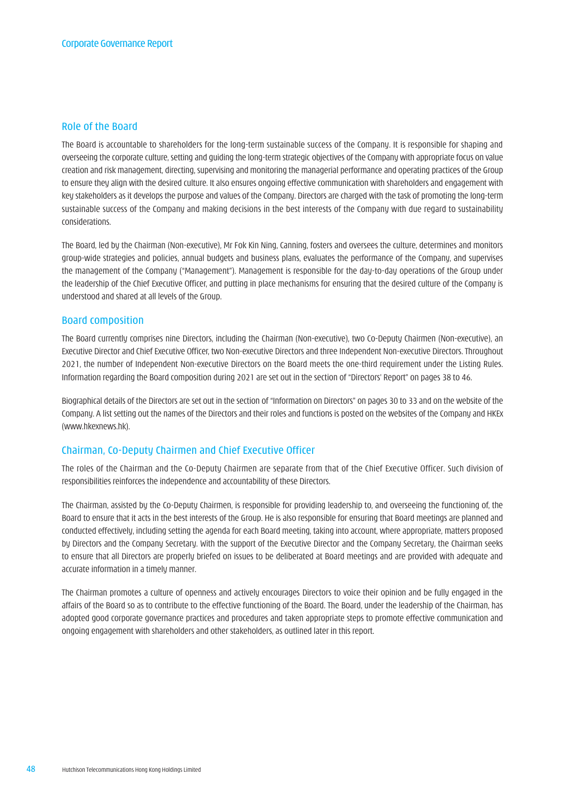#### Role of the Board

The Board is accountable to shareholders for the long-term sustainable success of the Company. It is responsible for shaping and overseeing the corporate culture, setting and guiding the long-term strategic objectives of the Company with appropriate focus on value creation and risk management, directing, supervising and monitoring the managerial performance and operating practices of the Group to ensure they align with the desired culture. It also ensures ongoing effective communication with shareholders and engagement with key stakeholders as it develops the purpose and values of the Company. Directors are charged with the task of promoting the long-term sustainable success of the Company and making decisions in the best interests of the Company with due regard to sustainability considerations.

The Board, led by the Chairman (Non-executive), Mr Fok Kin Ning, Canning, fosters and oversees the culture, determines and monitors group-wide strategies and policies, annual budgets and business plans, evaluates the performance of the Company, and supervises the management of the Company ("Management"). Management is responsible for the day-to-day operations of the Group under the leadership of the Chief Executive Officer, and putting in place mechanisms for ensuring that the desired culture of the Company is understood and shared at all levels of the Group.

#### Board composition

The Board currently comprises nine Directors, including the Chairman (Non-executive), two Co-Deputy Chairmen (Non-executive), an Executive Director and Chief Executive Officer, two Non-executive Directors and three Independent Non-executive Directors. Throughout 2021, the number of Independent Non-executive Directors on the Board meets the one-third requirement under the Listing Rules. Information regarding the Board composition during 2021 are set out in the section of "Directors' Report" on pages 38 to 46.

Biographical details of the Directors are set out in the section of "Information on Directors" on pages 30 to 33 and on the website of the Company. A list setting out the names of the Directors and their roles and functions is posted on the websites of the Company and HKEx (www.hkexnews.hk).

#### Chairman, Co-Deputy Chairmen and Chief Executive Officer

The roles of the Chairman and the Co-Deputy Chairmen are separate from that of the Chief Executive Officer. Such division of responsibilities reinforces the independence and accountability of these Directors.

The Chairman, assisted by the Co-Deputy Chairmen, is responsible for providing leadership to, and overseeing the functioning of, the Board to ensure that it acts in the best interests of the Group. He is also responsible for ensuring that Board meetings are planned and conducted effectively, including setting the agenda for each Board meeting, taking into account, where appropriate, matters proposed by Directors and the Company Secretary. With the support of the Executive Director and the Company Secretary, the Chairman seeks to ensure that all Directors are properly briefed on issues to be deliberated at Board meetings and are provided with adequate and accurate information in a timely manner.

The Chairman promotes a culture of openness and actively encourages Directors to voice their opinion and be fully engaged in the affairs of the Board so as to contribute to the effective functioning of the Board. The Board, under the leadership of the Chairman, has adopted good corporate governance practices and procedures and taken appropriate steps to promote effective communication and ongoing engagement with shareholders and other stakeholders, as outlined later in this report.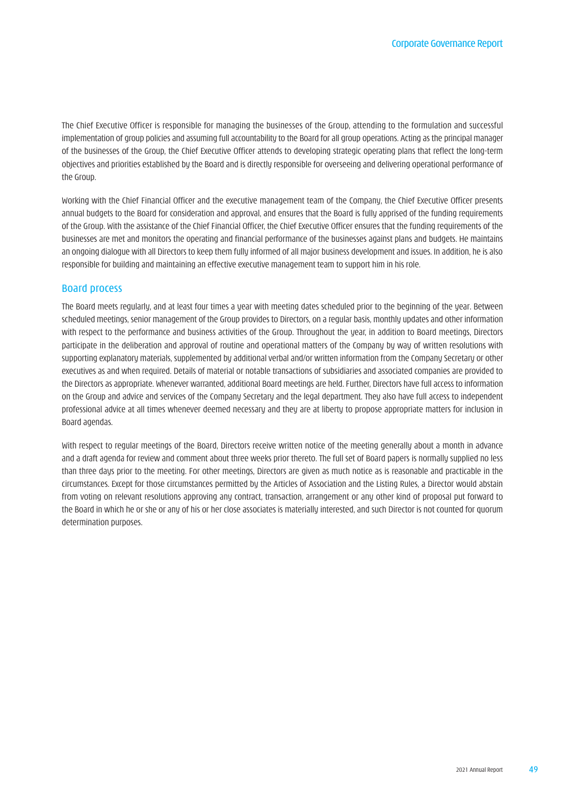The Chief Executive Officer is responsible for managing the businesses of the Group, attending to the formulation and successful implementation of group policies and assuming full accountability to the Board for all group operations. Acting as the principal manager of the businesses of the Group, the Chief Executive Officer attends to developing strategic operating plans that reflect the long-term objectives and priorities established by the Board and is directly responsible for overseeing and delivering operational performance of the Group.

Working with the Chief Financial Officer and the executive management team of the Company, the Chief Executive Officer presents annual budgets to the Board for consideration and approval, and ensures that the Board is fully apprised of the funding requirements of the Group. With the assistance of the Chief Financial Officer, the Chief Executive Officer ensures that the funding requirements of the businesses are met and monitors the operating and financial performance of the businesses against plans and budgets. He maintains an ongoing dialogue with all Directors to keep them fully informed of all major business development and issues. In addition, he is also responsible for building and maintaining an effective executive management team to support him in his role.

#### Board process

The Board meets regularly, and at least four times a year with meeting dates scheduled prior to the beginning of the year. Between scheduled meetings, senior management of the Group provides to Directors, on a regular basis, monthly updates and other information with respect to the performance and business activities of the Group. Throughout the year, in addition to Board meetings, Directors participate in the deliberation and approval of routine and operational matters of the Company by way of written resolutions with supporting explanatory materials, supplemented by additional verbal and/or written information from the Company Secretary or other executives as and when required. Details of material or notable transactions of subsidiaries and associated companies are provided to the Directors as appropriate. Whenever warranted, additional Board meetings are held. Further, Directors have full access to information on the Group and advice and services of the Company Secretary and the legal department. They also have full access to independent professional advice at all times whenever deemed necessary and they are at liberty to propose appropriate matters for inclusion in Board agendas.

With respect to regular meetings of the Board, Directors receive written notice of the meeting generally about a month in advance and a draft agenda for review and comment about three weeks prior thereto. The full set of Board papers is normally supplied no less than three days prior to the meeting. For other meetings, Directors are given as much notice as is reasonable and practicable in the circumstances. Except for those circumstances permitted by the Articles of Association and the Listing Rules, a Director would abstain from voting on relevant resolutions approving any contract, transaction, arrangement or any other kind of proposal put forward to the Board in which he or she or any of his or her close associates is materially interested, and such Director is not counted for quorum determination purposes.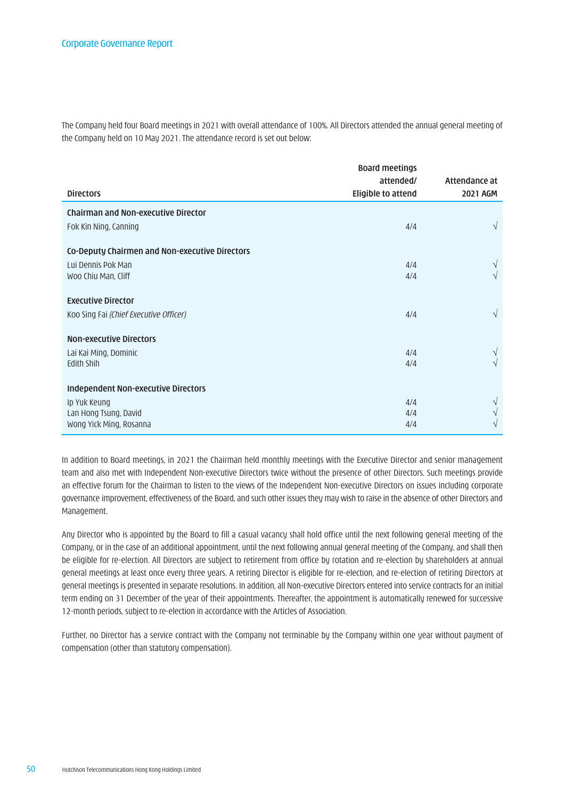The Company held four Board meetings in 2021 with overall attendance of 100%. All Directors attended the annual general meeting of the Company held on 10 May 2021. The attendance record is set out below:

|                                                | <b>Board meetings</b> |               |
|------------------------------------------------|-----------------------|---------------|
|                                                | attended/             | Attendance at |
| <b>Directors</b>                               | Eligible to attend    | 2021 AGM      |
| <b>Chairman and Non-executive Director</b>     |                       |               |
| Fok Kin Ning, Canning                          | 4/4                   | $\sqrt{}$     |
| Co-Deputy Chairmen and Non-executive Directors |                       |               |
| Lui Dennis Pok Man                             | 4/4                   |               |
| Woo Chiu Man, Cliff                            | 4/4                   | V             |
| <b>Executive Director</b>                      |                       |               |
| Koo Sing Fai (Chief Executive Officer)         | 4/4                   | $\sqrt{}$     |
| <b>Non-executive Directors</b>                 |                       |               |
| Lai Kai Ming, Dominic                          | 4/4                   | V             |
| Edith Shih                                     | 4/4                   | V             |
| <b>Independent Non-executive Directors</b>     |                       |               |
| Ip Yuk Keung                                   | 4/4                   |               |
| Lan Hong Tsung, David                          | 4/4                   |               |
| Wong Yick Ming, Rosanna                        | 4/4                   | V             |

In addition to Board meetings, in 2021 the Chairman held monthly meetings with the Executive Director and senior management team and also met with Independent Non-executive Directors twice without the presence of other Directors. Such meetings provide an effective forum for the Chairman to listen to the views of the Independent Non-executive Directors on issues including corporate governance improvement, effectiveness of the Board, and such other issues they may wish to raise in the absence of other Directors and Management.

Any Director who is appointed by the Board to fill a casual vacancy shall hold office until the next following general meeting of the Company, or in the case of an additional appointment, until the next following annual general meeting of the Company, and shall then be eligible for re-election. All Directors are subject to retirement from office by rotation and re-election by shareholders at annual general meetings at least once every three years. A retiring Director is eligible for re-election, and re-election of retiring Directors at general meetings is presented in separate resolutions. In addition, all Non-executive Directors entered into service contracts for an initial term ending on 31 December of the year of their appointments. Thereafter, the appointment is automatically renewed for successive 12-month periods, subject to re-election in accordance with the Articles of Association.

Further, no Director has a service contract with the Company not terminable by the Company within one year without payment of compensation (other than statutory compensation).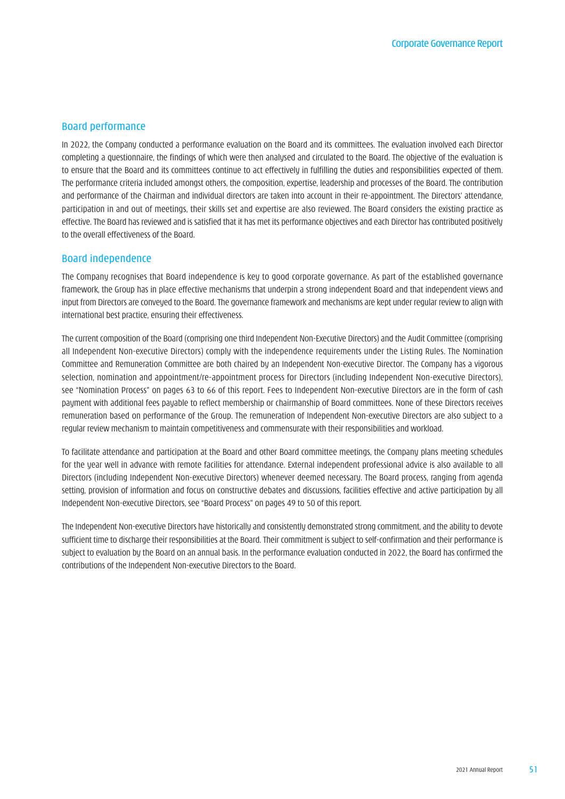#### Board performance

In 2022, the Company conducted a performance evaluation on the Board and its committees. The evaluation involved each Director completing a questionnaire, the findings of which were then analysed and circulated to the Board. The objective of the evaluation is to ensure that the Board and its committees continue to act effectively in fulfilling the duties and responsibilities expected of them. The performance criteria included amongst others, the composition, expertise, leadership and processes of the Board. The contribution and performance of the Chairman and individual directors are taken into account in their re-appointment. The Directors' attendance, participation in and out of meetings, their skills set and expertise are also reviewed. The Board considers the existing practice as effective. The Board has reviewed and is satisfied that it has met its performance objectives and each Director has contributed positively to the overall effectiveness of the Board.

#### Board independence

The Company recognises that Board independence is key to good corporate governance. As part of the established governance framework, the Group has in place effective mechanisms that underpin a strong independent Board and that independent views and input from Directors are conveyed to the Board. The governance framework and mechanisms are kept under regular review to align with international best practice, ensuring their effectiveness.

The current composition of the Board (comprising one third Independent Non-Executive Directors) and the Audit Committee (comprising all Independent Non-executive Directors) comply with the independence requirements under the Listing Rules. The Nomination Committee and Remuneration Committee are both chaired by an Independent Non-executive Director. The Company has a vigorous selection, nomination and appointment/re-appointment process for Directors (including Independent Non-executive Directors), see "Nomination Process" on pages 63 to 66 of this report. Fees to Independent Non-executive Directors are in the form of cash payment with additional fees payable to reflect membership or chairmanship of Board committees. None of these Directors receives remuneration based on performance of the Group. The remuneration of Independent Non-executive Directors are also subject to a regular review mechanism to maintain competitiveness and commensurate with their responsibilities and workload.

To facilitate attendance and participation at the Board and other Board committee meetings, the Company plans meeting schedules for the year well in advance with remote facilities for attendance. External independent professional advice is also available to all Directors (including Independent Non-executive Directors) whenever deemed necessary. The Board process, ranging from agenda setting, provision of information and focus on constructive debates and discussions, facilities effective and active participation by all Independent Non-executive Directors, see "Board Process" on pages 49 to 50 of this report.

The Independent Non-executive Directors have historically and consistently demonstrated strong commitment, and the ability to devote sufficient time to discharge their responsibilities at the Board. Their commitment is subject to self-confirmation and their performance is subject to evaluation by the Board on an annual basis. In the performance evaluation conducted in 2022, the Board has confirmed the contributions of the Independent Non-executive Directors to the Board.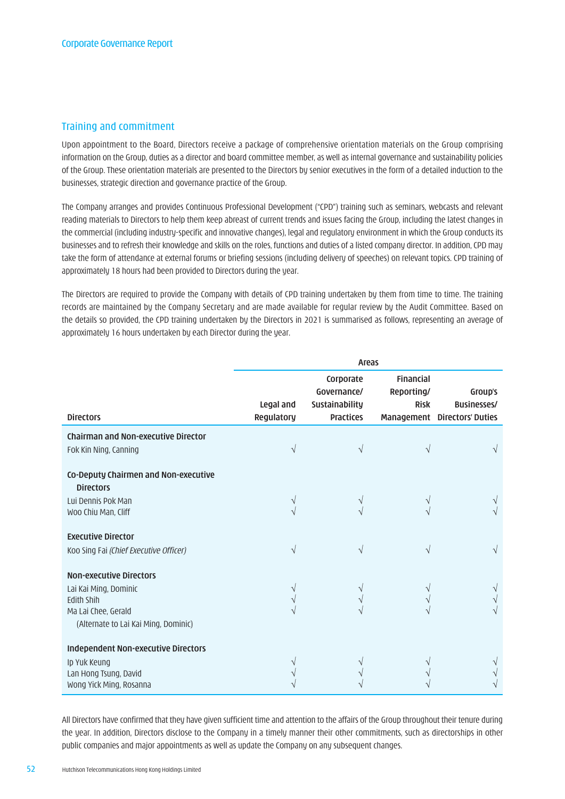# Training and commitment

Upon appointment to the Board, Directors receive a package of comprehensive orientation materials on the Group comprising information on the Group, duties as a director and board committee member, as well as internal governance and sustainability policies of the Group. These orientation materials are presented to the Directors by senior executives in the form of a detailed induction to the businesses, strategic direction and governance practice of the Group.

The Company arranges and provides Continuous Professional Development ("CPD") training such as seminars, webcasts and relevant reading materials to Directors to help them keep abreast of current trends and issues facing the Group, including the latest changes in the commercial (including industry-specific and innovative changes), legal and regulatory environment in which the Group conducts its businesses and to refresh their knowledge and skills on the roles, functions and duties of a listed company director. In addition, CPD may take the form of attendance at external forums or briefing sessions (including delivery of speeches) on relevant topics. CPD training of approximately 18 hours had been provided to Directors during the year.

The Directors are required to provide the Company with details of CPD training undertaken by them from time to time. The training records are maintained by the Company Secretary and are made available for regular review by the Audit Committee. Based on the details so provided, the CPD training undertaken by the Directors in 2021 is summarised as follows, representing an average of approximately 16 hours undertaken by each Director during the year.

|                                                                                                                                      | <b>Areas</b>            |                                                                       |                                               |                                                               |
|--------------------------------------------------------------------------------------------------------------------------------------|-------------------------|-----------------------------------------------------------------------|-----------------------------------------------|---------------------------------------------------------------|
| <b>Directors</b>                                                                                                                     | Legal and<br>Regulatory | Corporate<br>Governance/<br><b>Sustainability</b><br><b>Practices</b> | <b>Financial</b><br>Reporting/<br><b>Risk</b> | Group's<br><b>Businesses/</b><br>Management Directors' Duties |
| <b>Chairman and Non-executive Director</b>                                                                                           |                         |                                                                       |                                               |                                                               |
| Fok Kin Ning, Canning                                                                                                                | V                       | V                                                                     |                                               |                                                               |
| Co-Deputy Chairmen and Non-executive<br><b>Directors</b>                                                                             |                         |                                                                       |                                               |                                                               |
| Lui Dennis Pok Man                                                                                                                   |                         |                                                                       |                                               |                                                               |
| Woo Chiu Man, Cliff                                                                                                                  |                         |                                                                       |                                               |                                                               |
| <b>Executive Director</b>                                                                                                            |                         |                                                                       |                                               |                                                               |
| Koo Sing Fai (Chief Executive Officer)                                                                                               |                         | V                                                                     |                                               |                                                               |
| <b>Non-executive Directors</b><br>Lai Kai Ming, Dominic<br>Edith Shih<br>Ma Lai Chee, Gerald<br>(Alternate to Lai Kai Ming, Dominic) | V                       |                                                                       |                                               |                                                               |
| Independent Non-executive Directors<br>Ip Yuk Keung<br>Lan Hong Tsung, David<br>Wong Yick Ming, Rosanna                              |                         |                                                                       |                                               |                                                               |

All Directors have confirmed that they have given sufficient time and attention to the affairs of the Group throughout their tenure during the year. In addition, Directors disclose to the Company in a timely manner their other commitments, such as directorships in other public companies and major appointments as well as update the Company on any subsequent changes.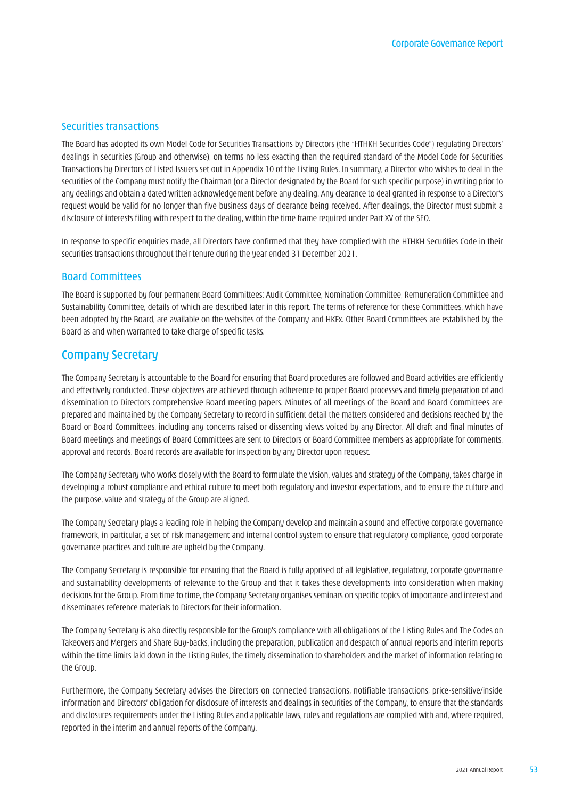#### Securities transactions

The Board has adopted its own Model Code for Securities Transactions by Directors (the "HTHKH Securities Code") regulating Directors' dealings in securities (Group and otherwise), on terms no less exacting than the required standard of the Model Code for Securities Transactions by Directors of Listed Issuers set out in Appendix 10 of the Listing Rules. In summary, a Director who wishes to deal in the securities of the Company must notify the Chairman (or a Director designated by the Board for such specific purpose) in writing prior to any dealings and obtain a dated written acknowledgement before any dealing. Any clearance to deal granted in response to a Director's request would be valid for no longer than five business days of clearance being received. After dealings, the Director must submit a disclosure of interests filing with respect to the dealing, within the time frame required under Part XV of the SFO.

In response to specific enquiries made, all Directors have confirmed that they have complied with the HTHKH Securities Code in their securities transactions throughout their tenure during the year ended 31 December 2021.

#### Board Committees

The Board is supported by four permanent Board Committees: Audit Committee, Nomination Committee, Remuneration Committee and Sustainability Committee, details of which are described later in this report. The terms of reference for these Committees, which have been adopted by the Board, are available on the websites of the Company and HKEx. Other Board Committees are established by the Board as and when warranted to take charge of specific tasks.

# Company Secretary

The Company Secretary is accountable to the Board for ensuring that Board procedures are followed and Board activities are efficiently and effectively conducted. These objectives are achieved through adherence to proper Board processes and timely preparation of and dissemination to Directors comprehensive Board meeting papers. Minutes of all meetings of the Board and Board Committees are prepared and maintained by the Company Secretary to record in sufficient detail the matters considered and decisions reached by the Board or Board Committees, including any concerns raised or dissenting views voiced by any Director. All draft and final minutes of Board meetings and meetings of Board Committees are sent to Directors or Board Committee members as appropriate for comments, approval and records. Board records are available for inspection by any Director upon request.

The Company Secretary who works closely with the Board to formulate the vision, values and strategy of the Company, takes charge in developing a robust compliance and ethical culture to meet both regulatory and investor expectations, and to ensure the culture and the purpose, value and strategy of the Group are aligned.

The Company Secretary plays a leading role in helping the Company develop and maintain a sound and effective corporate governance framework, in particular, a set of risk management and internal control system to ensure that regulatory compliance, good corporate governance practices and culture are upheld by the Company.

The Company Secretary is responsible for ensuring that the Board is fully apprised of all legislative, regulatory, corporate governance and sustainability developments of relevance to the Group and that it takes these developments into consideration when making decisions for the Group. From time to time, the Company Secretary organises seminars on specific topics of importance and interest and disseminates reference materials to Directors for their information.

The Company Secretary is also directly responsible for the Group's compliance with all obligations of the Listing Rules and The Codes on Takeovers and Mergers and Share Buy-backs, including the preparation, publication and despatch of annual reports and interim reports within the time limits laid down in the Listing Rules, the timely dissemination to shareholders and the market of information relating to the Group.

Furthermore, the Company Secretary advises the Directors on connected transactions, notifiable transactions, price-sensitive/inside information and Directors' obligation for disclosure of interests and dealings in securities of the Company, to ensure that the standards and disclosures requirements under the Listing Rules and applicable laws, rules and regulations are complied with and, where required, reported in the interim and annual reports of the Company.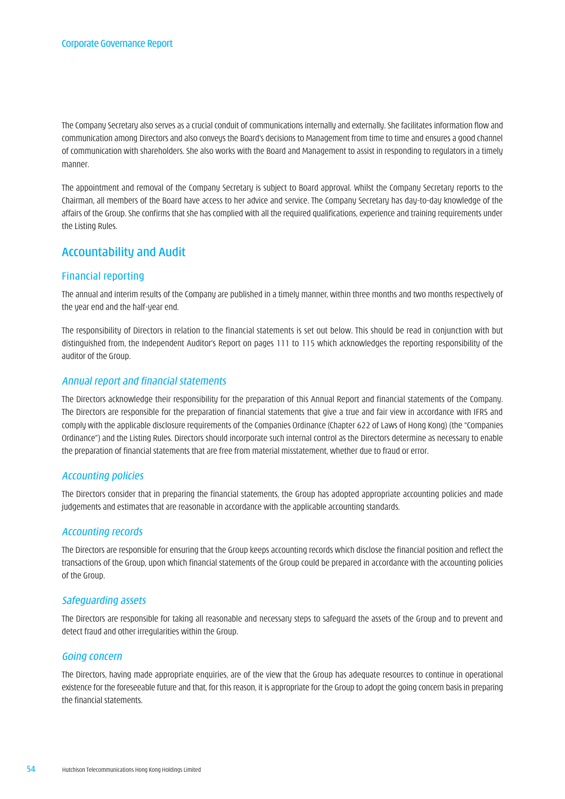The Company Secretary also serves as a crucial conduit of communications internally and externally. She facilitates information flow and communication among Directors and also conveys the Board's decisions to Management from time to time and ensures a good channel of communication with shareholders. She also works with the Board and Management to assist in responding to regulators in a timely manner.

The appointment and removal of the Company Secretary is subject to Board approval. Whilst the Company Secretary reports to the Chairman, all members of the Board have access to her advice and service. The Company Secretary has day-to-day knowledge of the affairs of the Group. She confirms that she has complied with all the required qualifications, experience and training requirements under the Listing Rules.

# Accountability and Audit

# Financial reporting

The annual and interim results of the Company are published in a timely manner, within three months and two months respectively of the year end and the half-year end.

The responsibility of Directors in relation to the financial statements is set out below. This should be read in conjunction with but distinguished from, the Independent Auditor's Report on pages 111 to 115 which acknowledges the reporting responsibility of the auditor of the Group.

# *Annual report and financial statements*

The Directors acknowledge their responsibility for the preparation of this Annual Report and financial statements of the Company. The Directors are responsible for the preparation of financial statements that give a true and fair view in accordance with IFRS and comply with the applicable disclosure requirements of the Companies Ordinance (Chapter 622 of Laws of Hong Kong) (the "Companies Ordinance") and the Listing Rules. Directors should incorporate such internal control as the Directors determine as necessary to enable the preparation of financial statements that are free from material misstatement, whether due to fraud or error.

# *Accounting policies*

The Directors consider that in preparing the financial statements, the Group has adopted appropriate accounting policies and made judgements and estimates that are reasonable in accordance with the applicable accounting standards.

# *Accounting records*

The Directors are responsible for ensuring that the Group keeps accounting records which disclose the financial position and reflect the transactions of the Group, upon which financial statements of the Group could be prepared in accordance with the accounting policies of the Group.

# *Safeguarding assets*

The Directors are responsible for taking all reasonable and necessary steps to safeguard the assets of the Group and to prevent and detect fraud and other irregularities within the Group.

# *Going concern*

The Directors, having made appropriate enquiries, are of the view that the Group has adequate resources to continue in operational existence for the foreseeable future and that, for this reason, it is appropriate for the Group to adopt the going concern basis in preparing the financial statements.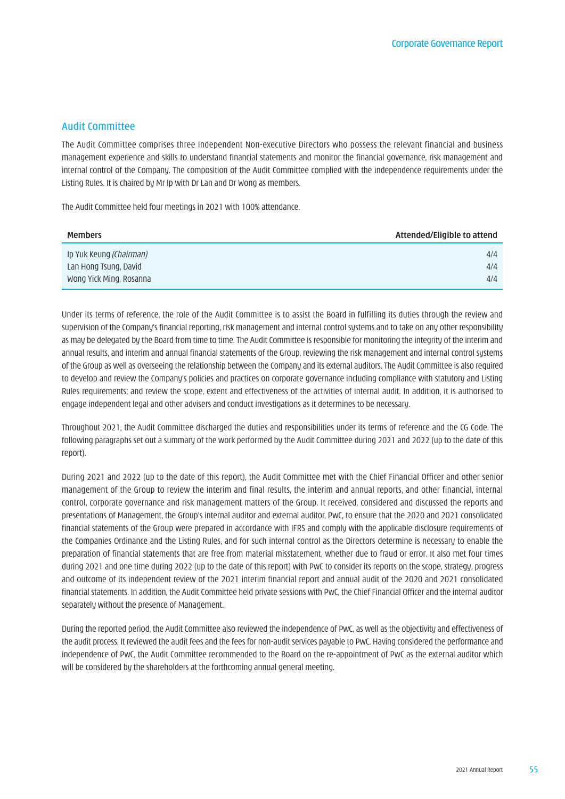#### Audit Committee

The Audit Committee comprises three Independent Non-executive Directors who possess the relevant financial and business management experience and skills to understand financial statements and monitor the financial governance, risk management and internal control of the Company. The composition of the Audit Committee complied with the independence requirements under the Listing Rules. It is chaired by Mr Ip with Dr Lan and Dr Wong as members.

The Audit Committee held four meetings in 2021 with 100% attendance.

| <b>Members</b>                 | Attended/Eligible to attend |
|--------------------------------|-----------------------------|
| Ip Yuk Keung <i>(Chairman)</i> | 4/4                         |
| Lan Hong Tsung, David          | 4/4                         |
| Wong Yick Ming, Rosanna        | 4/4                         |

Under its terms of reference, the role of the Audit Committee is to assist the Board in fulfilling its duties through the review and supervision of the Company's financial reporting, risk management and internal control systems and to take on any other responsibility as may be delegated by the Board from time to time. The Audit Committee is responsible for monitoring the integrity of the interim and annual results, and interim and annual financial statements of the Group, reviewing the risk management and internal control systems of the Group as well as overseeing the relationship between the Company and its external auditors. The Audit Committee is also required to develop and review the Company's policies and practices on corporate governance including compliance with statutory and Listing Rules requirements; and review the scope, extent and effectiveness of the activities of internal audit. In addition, it is authorised to engage independent legal and other advisers and conduct investigations as it determines to be necessary.

Throughout 2021, the Audit Committee discharged the duties and responsibilities under its terms of reference and the CG Code. The following paragraphs set out a summary of the work performed by the Audit Committee during 2021 and 2022 (up to the date of this report).

During 2021 and 2022 (up to the date of this report), the Audit Committee met with the Chief Financial Officer and other senior management of the Group to review the interim and final results, the interim and annual reports, and other financial, internal control, corporate governance and risk management matters of the Group. It received, considered and discussed the reports and presentations of Management, the Group's internal auditor and external auditor, PwC, to ensure that the 2020 and 2021 consolidated financial statements of the Group were prepared in accordance with IFRS and comply with the applicable disclosure requirements of the Companies Ordinance and the Listing Rules, and for such internal control as the Directors determine is necessary to enable the preparation of financial statements that are free from material misstatement, whether due to fraud or error. It also met four times during 2021 and one time during 2022 (up to the date of this report) with PwC to consider its reports on the scope, strategy, progress and outcome of its independent review of the 2021 interim financial report and annual audit of the 2020 and 2021 consolidated financial statements. In addition, the Audit Committee held private sessions with PwC, the Chief Financial Officer and the internal auditor separately without the presence of Management.

During the reported period, the Audit Committee also reviewed the independence of PwC, as well as the objectivity and effectiveness of the audit process. It reviewed the audit fees and the fees for non-audit services payable to PwC. Having considered the performance and independence of PwC, the Audit Committee recommended to the Board on the re-appointment of PwC as the external auditor which will be considered by the shareholders at the forthcoming annual general meeting.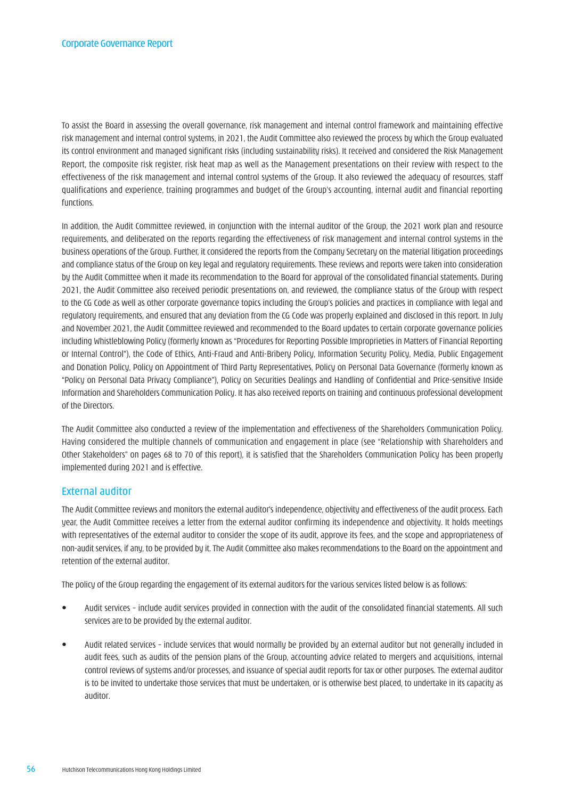To assist the Board in assessing the overall governance, risk management and internal control framework and maintaining effective risk management and internal control systems, in 2021, the Audit Committee also reviewed the process by which the Group evaluated its control environment and managed significant risks (including sustainability risks). It received and considered the Risk Management Report, the composite risk register, risk heat map as well as the Management presentations on their review with respect to the effectiveness of the risk management and internal control systems of the Group. It also reviewed the adequacy of resources, staff qualifications and experience, training programmes and budget of the Group's accounting, internal audit and financial reporting functions.

In addition, the Audit Committee reviewed, in conjunction with the internal auditor of the Group, the 2021 work plan and resource requirements, and deliberated on the reports regarding the effectiveness of risk management and internal control systems in the business operations of the Group. Further, it considered the reports from the Company Secretary on the material litigation proceedings and compliance status of the Group on key legal and regulatory requirements. These reviews and reports were taken into consideration by the Audit Committee when it made its recommendation to the Board for approval of the consolidated financial statements. During 2021, the Audit Committee also received periodic presentations on, and reviewed, the compliance status of the Group with respect to the CG Code as well as other corporate governance topics including the Group's policies and practices in compliance with legal and regulatory requirements, and ensured that any deviation from the CG Code was properly explained and disclosed in this report. In July and November 2021, the Audit Committee reviewed and recommended to the Board updates to certain corporate governance policies including Whistleblowing Policy (formerly known as "Procedures for Reporting Possible Improprieties in Matters of Financial Reporting or Internal Control"), the Code of Ethics, Anti-Fraud and Anti-Bribery Policy, Information Security Policy, Media, Public Engagement and Donation Policy, Policy on Appointment of Third Party Representatives, Policy on Personal Data Governance (formerly known as "Policy on Personal Data Privacy Compliance"), Policy on Securities Dealings and Handling of Confidential and Price-sensitive Inside Information and Shareholders Communication Policy. It has also received reports on training and continuous professional development of the Directors.

The Audit Committee also conducted a review of the implementation and effectiveness of the Shareholders Communication Policy. Having considered the multiple channels of communication and engagement in place (see "Relationship with Shareholders and Other Stakeholders" on pages 68 to 70 of this report), it is satisfied that the Shareholders Communication Policy has been properly implemented during 2021 and is effective.

# External auditor

The Audit Committee reviews and monitors the external auditor's independence, objectivity and effectiveness of the audit process. Each year, the Audit Committee receives a letter from the external auditor confirming its independence and objectivity. It holds meetings with representatives of the external auditor to consider the scope of its audit, approve its fees, and the scope and appropriateness of non-audit services, if any, to be provided by it. The Audit Committee also makes recommendations to the Board on the appointment and retention of the external auditor.

The policy of the Group regarding the engagement of its external auditors for the various services listed below is as follows:

- Audit services include audit services provided in connection with the audit of the consolidated financial statements. All such services are to be provided by the external auditor.
- Audit related services include services that would normally be provided by an external auditor but not generally included in audit fees, such as audits of the pension plans of the Group, accounting advice related to mergers and acquisitions, internal control reviews of systems and/or processes, and issuance of special audit reports for tax or other purposes. The external auditor is to be invited to undertake those services that must be undertaken, or is otherwise best placed, to undertake in its capacity as auditor.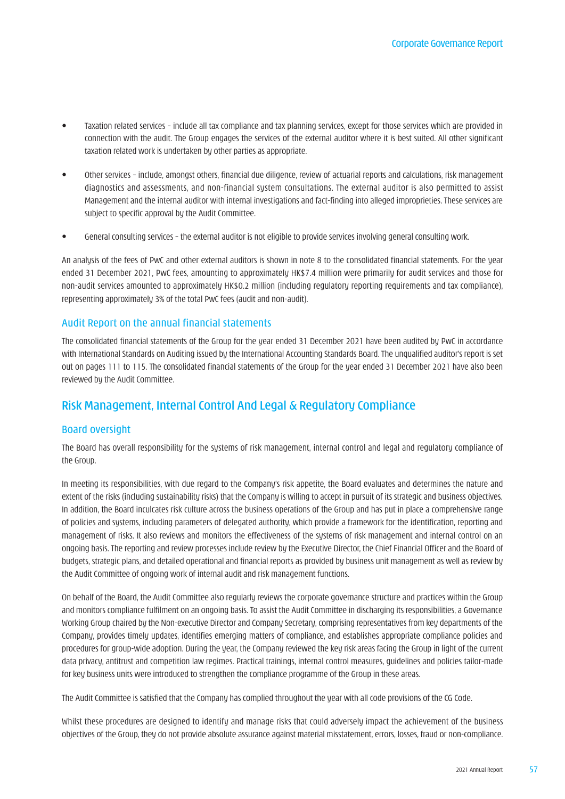- Taxation related services include all tax compliance and tax planning services, except for those services which are provided in connection with the audit. The Group engages the services of the external auditor where it is best suited. All other significant taxation related work is undertaken by other parties as appropriate.
- Other services include, amongst others, financial due diligence, review of actuarial reports and calculations, risk management diagnostics and assessments, and non-financial system consultations. The external auditor is also permitted to assist Management and the internal auditor with internal investigations and fact-finding into alleged improprieties. These services are subject to specific approval by the Audit Committee.
- General consulting services the external auditor is not eligible to provide services involving general consulting work.

An analysis of the fees of PwC and other external auditors is shown in note 8 to the consolidated financial statements. For the year ended 31 December 2021, PwC fees, amounting to approximately HK\$7.4 million were primarily for audit services and those for non-audit services amounted to approximately HK\$0.2 million (including regulatory reporting requirements and tax compliance), representing approximately 3% of the total PwC fees (audit and non-audit).

# Audit Report on the annual financial statements

The consolidated financial statements of the Group for the year ended 31 December 2021 have been audited by PwC in accordance with International Standards on Auditing issued by the International Accounting Standards Board. The unqualified auditor's report is set out on pages 111 to 115. The consolidated financial statements of the Group for the year ended 31 December 2021 have also been reviewed by the Audit Committee.

# Risk Management, Internal Control And Legal & Regulatory Compliance

# Board oversight

The Board has overall responsibility for the systems of risk management, internal control and legal and regulatory compliance of the Group.

In meeting its responsibilities, with due regard to the Company's risk appetite, the Board evaluates and determines the nature and extent of the risks (including sustainability risks) that the Company is willing to accept in pursuit of its strategic and business objectives. In addition, the Board inculcates risk culture across the business operations of the Group and has put in place a comprehensive range of policies and systems, including parameters of delegated authority, which provide a framework for the identification, reporting and management of risks. It also reviews and monitors the effectiveness of the systems of risk management and internal control on an ongoing basis. The reporting and review processes include review by the Executive Director, the Chief Financial Officer and the Board of budgets, strategic plans, and detailed operational and financial reports as provided by business unit management as well as review by the Audit Committee of ongoing work of internal audit and risk management functions.

On behalf of the Board, the Audit Committee also regularly reviews the corporate governance structure and practices within the Group and monitors compliance fulfilment on an ongoing basis. To assist the Audit Committee in discharging its responsibilities, a Governance Working Group chaired by the Non-executive Director and Company Secretary, comprising representatives from key departments of the Company, provides timely updates, identifies emerging matters of compliance, and establishes appropriate compliance policies and procedures for group-wide adoption. During the year, the Company reviewed the key risk areas facing the Group in light of the current data privacy, antitrust and competition law regimes. Practical trainings, internal control measures, guidelines and policies tailor-made for key business units were introduced to strengthen the compliance programme of the Group in these areas.

The Audit Committee is satisfied that the Company has complied throughout the year with all code provisions of the CG Code.

Whilst these procedures are designed to identify and manage risks that could adversely impact the achievement of the business objectives of the Group, they do not provide absolute assurance against material misstatement, errors, losses, fraud or non-compliance.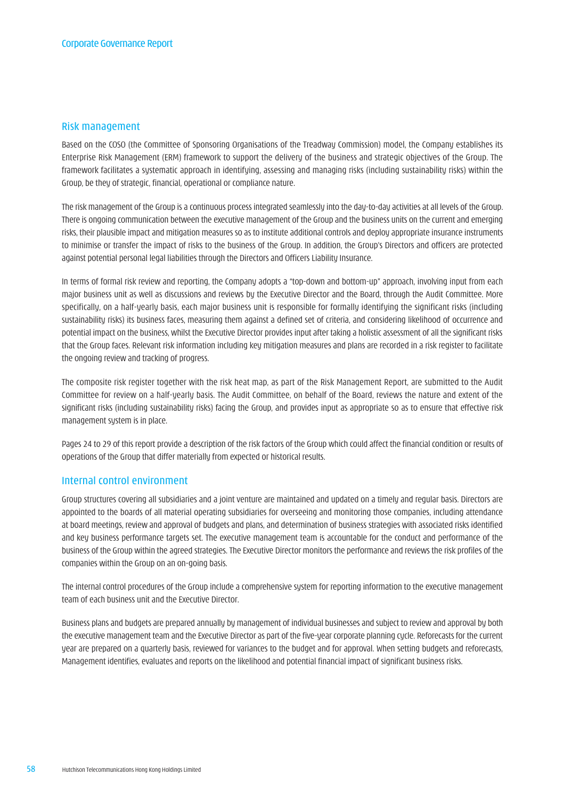#### Risk management

Based on the COSO (the Committee of Sponsoring Organisations of the Treadway Commission) model, the Company establishes its Enterprise Risk Management (ERM) framework to support the delivery of the business and strategic objectives of the Group. The framework facilitates a systematic approach in identifying, assessing and managing risks (including sustainability risks) within the Group, be they of strategic, financial, operational or compliance nature.

The risk management of the Group is a continuous process integrated seamlessly into the day-to-day activities at all levels of the Group. There is ongoing communication between the executive management of the Group and the business units on the current and emerging risks, their plausible impact and mitigation measures so as to institute additional controls and deploy appropriate insurance instruments to minimise or transfer the impact of risks to the business of the Group. In addition, the Group's Directors and officers are protected against potential personal legal liabilities through the Directors and Officers Liability Insurance.

In terms of formal risk review and reporting, the Company adopts a "top-down and bottom-up" approach, involving input from each major business unit as well as discussions and reviews by the Executive Director and the Board, through the Audit Committee. More specifically, on a half-yearly basis, each major business unit is responsible for formally identifying the significant risks (including sustainability risks) its business faces, measuring them against a defined set of criteria, and considering likelihood of occurrence and potential impact on the business, whilst the Executive Director provides input after taking a holistic assessment of all the significant risks that the Group faces. Relevant risk information including key mitigation measures and plans are recorded in a risk register to facilitate the ongoing review and tracking of progress.

The composite risk register together with the risk heat map, as part of the Risk Management Report, are submitted to the Audit Committee for review on a half-yearly basis. The Audit Committee, on behalf of the Board, reviews the nature and extent of the significant risks (including sustainability risks) facing the Group, and provides input as appropriate so as to ensure that effective risk management system is in place.

Pages 24 to 29 of this report provide a description of the risk factors of the Group which could affect the financial condition or results of operations of the Group that differ materially from expected or historical results.

#### Internal control environment

Group structures covering all subsidiaries and a joint venture are maintained and updated on a timely and regular basis. Directors are appointed to the boards of all material operating subsidiaries for overseeing and monitoring those companies, including attendance at board meetings, review and approval of budgets and plans, and determination of business strategies with associated risks identified and key business performance targets set. The executive management team is accountable for the conduct and performance of the business of the Group within the agreed strategies. The Executive Director monitors the performance and reviews the risk profiles of the companies within the Group on an on-going basis.

The internal control procedures of the Group include a comprehensive system for reporting information to the executive management team of each business unit and the Executive Director.

Business plans and budgets are prepared annually by management of individual businesses and subject to review and approval by both the executive management team and the Executive Director as part of the five-year corporate planning cycle. Reforecasts for the current year are prepared on a quarterly basis, reviewed for variances to the budget and for approval. When setting budgets and reforecasts, Management identifies, evaluates and reports on the likelihood and potential financial impact of significant business risks.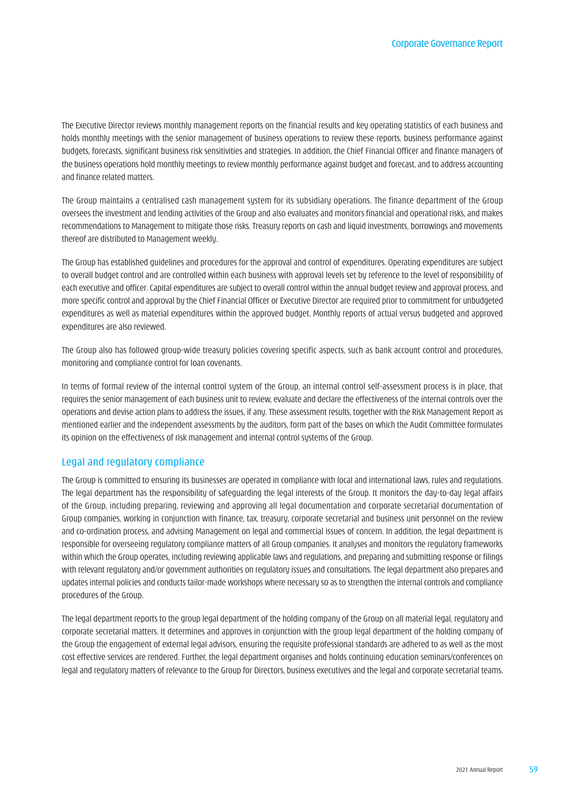The Executive Director reviews monthly management reports on the financial results and key operating statistics of each business and holds monthly meetings with the senior management of business operations to review these reports, business performance against budgets, forecasts, significant business risk sensitivities and strategies. In addition, the Chief Financial Officer and finance managers of the business operations hold monthly meetings to review monthly performance against budget and forecast, and to address accounting and finance related matters.

The Group maintains a centralised cash management system for its subsidiary operations. The finance department of the Group oversees the investment and lending activities of the Group and also evaluates and monitors financial and operational risks, and makes recommendations to Management to mitigate those risks. Treasury reports on cash and liquid investments, borrowings and movements thereof are distributed to Management weekly.

The Group has established guidelines and procedures for the approval and control of expenditures. Operating expenditures are subject to overall budget control and are controlled within each business with approval levels set by reference to the level of responsibility of each executive and officer. Capital expenditures are subject to overall control within the annual budget review and approval process, and more specific control and approval by the Chief Financial Officer or Executive Director are required prior to commitment for unbudgeted expenditures as well as material expenditures within the approved budget. Monthly reports of actual versus budgeted and approved expenditures are also reviewed.

The Group also has followed group-wide treasury policies covering specific aspects, such as bank account control and procedures, monitoring and compliance control for loan covenants.

In terms of formal review of the internal control system of the Group, an internal control self-assessment process is in place, that requires the senior management of each business unit to review, evaluate and declare the effectiveness of the internal controls over the operations and devise action plans to address the issues, if any. These assessment results, together with the Risk Management Report as mentioned earlier and the independent assessments by the auditors, form part of the bases on which the Audit Committee formulates its opinion on the effectiveness of risk management and internal control systems of the Group.

# Legal and regulatory compliance

The Group is committed to ensuring its businesses are operated in compliance with local and international laws, rules and regulations. The legal department has the responsibility of safeguarding the legal interests of the Group. It monitors the day-to-day legal affairs of the Group, including preparing, reviewing and approving all legal documentation and corporate secretarial documentation of Group companies, working in conjunction with finance, tax, treasury, corporate secretarial and business unit personnel on the review and co-ordination process, and advising Management on legal and commercial issues of concern. In addition, the legal department is responsible for overseeing regulatory compliance matters of all Group companies. It analyses and monitors the regulatory frameworks within which the Group operates, including reviewing applicable laws and regulations, and preparing and submitting response or filings with relevant regulatory and/or government authorities on regulatory issues and consultations. The legal department also prepares and updates internal policies and conducts tailor-made workshops where necessary so as to strengthen the internal controls and compliance procedures of the Group.

The legal department reports to the group legal department of the holding company of the Group on all material legal, regulatory and corporate secretarial matters. It determines and approves in conjunction with the group legal department of the holding company of the Group the engagement of external legal advisors, ensuring the requisite professional standards are adhered to as well as the most cost effective services are rendered. Further, the legal department organises and holds continuing education seminars/conferences on legal and regulatory matters of relevance to the Group for Directors, business executives and the legal and corporate secretarial teams.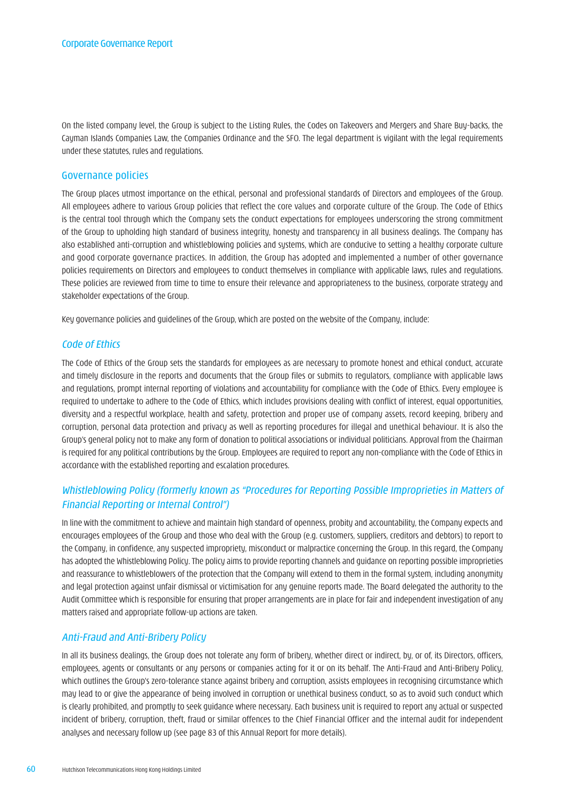On the listed company level, the Group is subject to the Listing Rules, the Codes on Takeovers and Mergers and Share Buy-backs, the Cayman Islands Companies Law, the Companies Ordinance and the SFO. The legal department is vigilant with the legal requirements under these statutes, rules and regulations.

#### Governance policies

The Group places utmost importance on the ethical, personal and professional standards of Directors and employees of the Group. All employees adhere to various Group policies that reflect the core values and corporate culture of the Group. The Code of Ethics is the central tool through which the Company sets the conduct expectations for employees underscoring the strong commitment of the Group to upholding high standard of business integrity, honesty and transparency in all business dealings. The Company has also established anti-corruption and whistleblowing policies and systems, which are conducive to setting a healthy corporate culture and good corporate governance practices. In addition, the Group has adopted and implemented a number of other governance policies requirements on Directors and employees to conduct themselves in compliance with applicable laws, rules and regulations. These policies are reviewed from time to time to ensure their relevance and appropriateness to the business, corporate strategy and stakeholder expectations of the Group.

Key governance policies and guidelines of the Group, which are posted on the website of the Company, include:

#### *Code of Ethics*

The Code of Ethics of the Group sets the standards for employees as are necessary to promote honest and ethical conduct, accurate and timely disclosure in the reports and documents that the Group files or submits to regulators, compliance with applicable laws and regulations, prompt internal reporting of violations and accountability for compliance with the Code of Ethics. Every employee is required to undertake to adhere to the Code of Ethics, which includes provisions dealing with conflict of interest, equal opportunities, diversity and a respectful workplace, health and safety, protection and proper use of company assets, record keeping, bribery and corruption, personal data protection and privacy as well as reporting procedures for illegal and unethical behaviour. It is also the Group's general policy not to make any form of donation to political associations or individual politicians. Approval from the Chairman is required for any political contributions by the Group. Employees are required to report any non-compliance with the Code of Ethics in accordance with the established reporting and escalation procedures.

# *Whistleblowing Policy (formerly known as "Procedures for Reporting Possible Improprieties in Matters of Financial Reporting or Internal Control")*

In line with the commitment to achieve and maintain high standard of openness, probity and accountability, the Company expects and encourages employees of the Group and those who deal with the Group (e.g. customers, suppliers, creditors and debtors) to report to the Company, in confidence, any suspected impropriety, misconduct or malpractice concerning the Group. In this regard, the Company has adopted the Whistleblowing Policy. The policy aims to provide reporting channels and guidance on reporting possible improprieties and reassurance to whistleblowers of the protection that the Company will extend to them in the formal system, including anonymity and legal protection against unfair dismissal or victimisation for any genuine reports made. The Board delegated the authority to the Audit Committee which is responsible for ensuring that proper arrangements are in place for fair and independent investigation of any matters raised and appropriate follow-up actions are taken.

### *Anti-Fraud and Anti-Bribery Policy*

In all its business dealings, the Group does not tolerate any form of bribery, whether direct or indirect, by, or of, its Directors, officers, employees, agents or consultants or any persons or companies acting for it or on its behalf. The Anti-Fraud and Anti-Bribery Policy, which outlines the Group's zero-tolerance stance against bribery and corruption, assists employees in recognising circumstance which may lead to or give the appearance of being involved in corruption or unethical business conduct, so as to avoid such conduct which is clearly prohibited, and promptly to seek guidance where necessary. Each business unit is required to report any actual or suspected incident of bribery, corruption, theft, fraud or similar offences to the Chief Financial Officer and the internal audit for independent analyses and necessary follow up (see page 83 of this Annual Report for more details).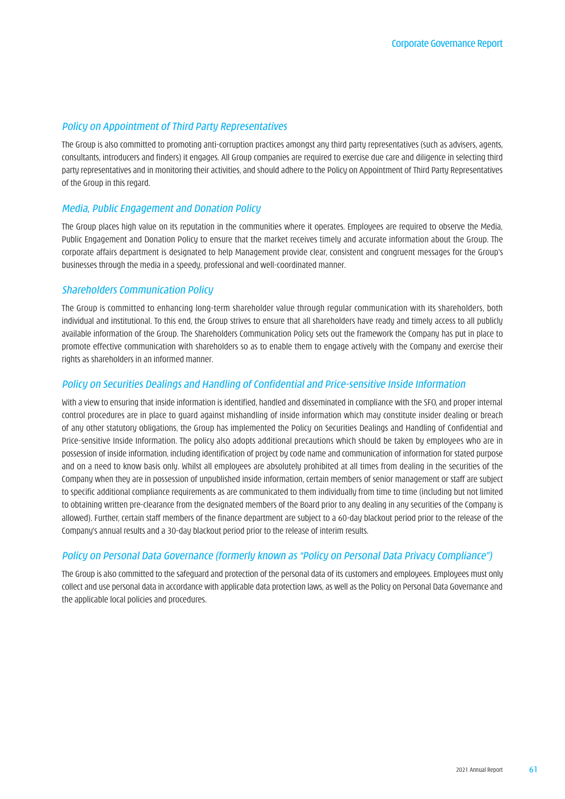### *Policy on Appointment of Third Party Representatives*

The Group is also committed to promoting anti-corruption practices amongst any third party representatives (such as advisers, agents, consultants, introducers and finders) it engages. All Group companies are required to exercise due care and diligence in selecting third party representatives and in monitoring their activities, and should adhere to the Policy on Appointment of Third Party Representatives of the Group in this regard.

#### *Media, Public Engagement and Donation Policy*

The Group places high value on its reputation in the communities where it operates. Employees are required to observe the Media, Public Engagement and Donation Policy to ensure that the market receives timely and accurate information about the Group. The corporate affairs department is designated to help Management provide clear, consistent and congruent messages for the Group's businesses through the media in a speedy, professional and well-coordinated manner.

#### *Shareholders Communication Policy*

The Group is committed to enhancing long-term shareholder value through regular communication with its shareholders, both individual and institutional. To this end, the Group strives to ensure that all shareholders have ready and timely access to all publicly available information of the Group. The Shareholders Communication Policy sets out the framework the Company has put in place to promote effective communication with shareholders so as to enable them to engage actively with the Company and exercise their rights as shareholders in an informed manner.

#### *Policy on Securities Dealings and Handling of Confidential and Price-sensitive Inside Information*

With a view to ensuring that inside information is identified, handled and disseminated in compliance with the SFO, and proper internal control procedures are in place to guard against mishandling of inside information which may constitute insider dealing or breach of any other statutory obligations, the Group has implemented the Policy on Securities Dealings and Handling of Confidential and Price-sensitive Inside Information. The policy also adopts additional precautions which should be taken by employees who are in possession of inside information, including identification of project by code name and communication of information for stated purpose and on a need to know basis only. Whilst all employees are absolutely prohibited at all times from dealing in the securities of the Company when they are in possession of unpublished inside information, certain members of senior management or staff are subject to specific additional compliance requirements as are communicated to them individually from time to time (including but not limited to obtaining written pre-clearance from the designated members of the Board prior to any dealing in any securities of the Company is allowed). Further, certain staff members of the finance department are subject to a 60-day blackout period prior to the release of the Company's annual results and a 30-day blackout period prior to the release of interim results.

# *Policy on Personal Data Governance (formerly known as "Policy on Personal Data Privacy Compliance")*

The Group is also committed to the safeguard and protection of the personal data of its customers and employees. Employees must only collect and use personal data in accordance with applicable data protection laws, as well as the Policy on Personal Data Governance and the applicable local policies and procedures.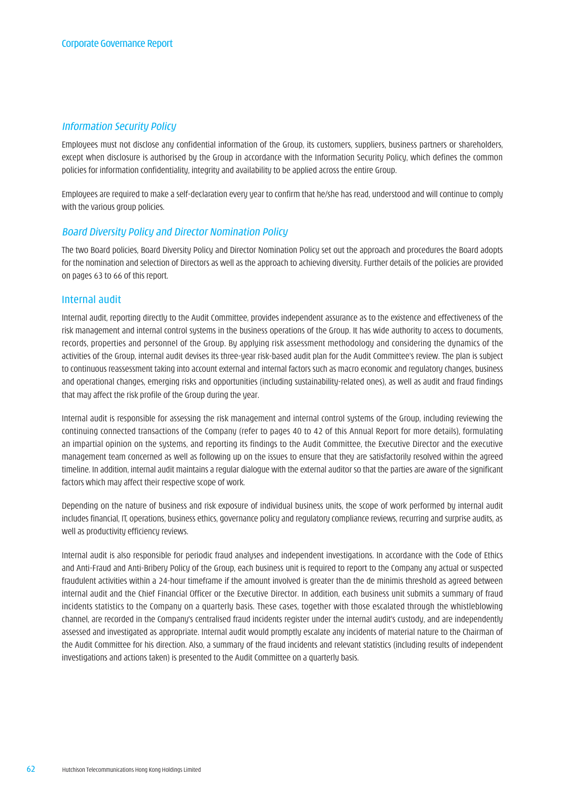# *Information Security Policy*

Employees must not disclose any confidential information of the Group, its customers, suppliers, business partners or shareholders, except when disclosure is authorised by the Group in accordance with the Information Security Policy, which defines the common policies for information confidentiality, integrity and availability to be applied across the entire Group.

Employees are required to make a self-declaration every year to confirm that he/she has read, understood and will continue to comply with the various group policies.

#### *Board Diversity Policy and Director Nomination Policy*

The two Board policies, Board Diversity Policy and Director Nomination Policy set out the approach and procedures the Board adopts for the nomination and selection of Directors as well as the approach to achieving diversity. Further details of the policies are provided on pages 63 to 66 of this report.

#### Internal audit

Internal audit, reporting directly to the Audit Committee, provides independent assurance as to the existence and effectiveness of the risk management and internal control systems in the business operations of the Group. It has wide authority to access to documents, records, properties and personnel of the Group. By applying risk assessment methodology and considering the dynamics of the activities of the Group, internal audit devises its three-year risk-based audit plan for the Audit Committee's review. The plan is subject to continuous reassessment taking into account external and internal factors such as macro economic and regulatory changes, business and operational changes, emerging risks and opportunities (including sustainability-related ones), as well as audit and fraud findings that may affect the risk profile of the Group during the year.

Internal audit is responsible for assessing the risk management and internal control systems of the Group, including reviewing the continuing connected transactions of the Company (refer to pages 40 to 42 of this Annual Report for more details), formulating an impartial opinion on the systems, and reporting its findings to the Audit Committee, the Executive Director and the executive management team concerned as well as following up on the issues to ensure that they are satisfactorily resolved within the agreed timeline. In addition, internal audit maintains a regular dialogue with the external auditor so that the parties are aware of the significant factors which may affect their respective scope of work.

Depending on the nature of business and risk exposure of individual business units, the scope of work performed by internal audit includes financial, IT, operations, business ethics, governance policy and regulatory compliance reviews, recurring and surprise audits, as well as productivity efficiency reviews.

Internal audit is also responsible for periodic fraud analyses and independent investigations. In accordance with the Code of Ethics and Anti-Fraud and Anti-Bribery Policy of the Group, each business unit is required to report to the Company any actual or suspected fraudulent activities within a 24-hour timeframe if the amount involved is greater than the de minimis threshold as agreed between internal audit and the Chief Financial Officer or the Executive Director. In addition, each business unit submits a summary of fraud incidents statistics to the Company on a quarterly basis. These cases, together with those escalated through the whistleblowing channel, are recorded in the Company's centralised fraud incidents register under the internal audit's custody, and are independently assessed and investigated as appropriate. Internal audit would promptly escalate any incidents of material nature to the Chairman of the Audit Committee for his direction. Also, a summary of the fraud incidents and relevant statistics (including results of independent investigations and actions taken) is presented to the Audit Committee on a quarterly basis.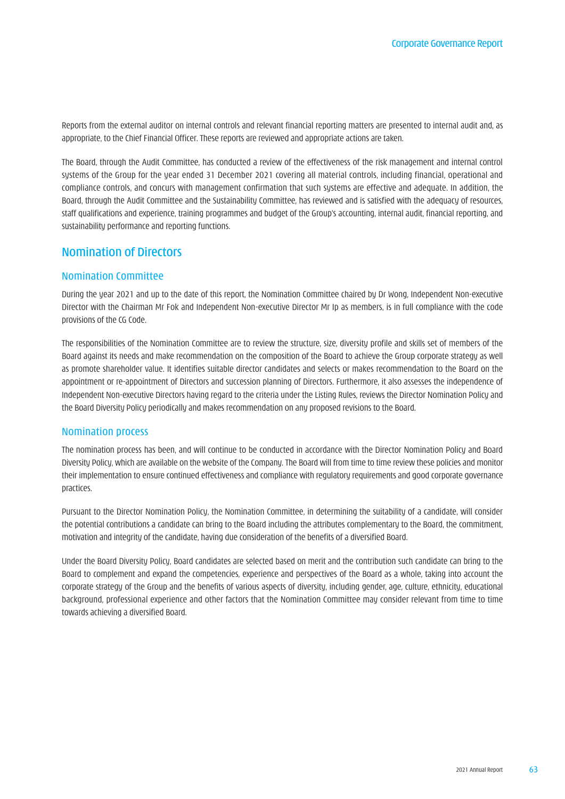Reports from the external auditor on internal controls and relevant financial reporting matters are presented to internal audit and, as appropriate, to the Chief Financial Officer. These reports are reviewed and appropriate actions are taken.

The Board, through the Audit Committee, has conducted a review of the effectiveness of the risk management and internal control systems of the Group for the year ended 31 December 2021 covering all material controls, including financial, operational and compliance controls, and concurs with management confirmation that such systems are effective and adequate. In addition, the Board, through the Audit Committee and the Sustainability Committee, has reviewed and is satisfied with the adequacy of resources, staff qualifications and experience, training programmes and budget of the Group's accounting, internal audit, financial reporting, and sustainability performance and reporting functions.

# Nomination of Directors

# Nomination Committee

During the year 2021 and up to the date of this report, the Nomination Committee chaired by Dr Wong, Independent Non-executive Director with the Chairman Mr Fok and Independent Non-executive Director Mr Ip as members, is in full compliance with the code provisions of the CG Code.

The responsibilities of the Nomination Committee are to review the structure, size, diversity profile and skills set of members of the Board against its needs and make recommendation on the composition of the Board to achieve the Group corporate strategy as well as promote shareholder value. It identifies suitable director candidates and selects or makes recommendation to the Board on the appointment or re-appointment of Directors and succession planning of Directors. Furthermore, it also assesses the independence of Independent Non-executive Directors having regard to the criteria under the Listing Rules, reviews the Director Nomination Policy and the Board Diversity Policy periodically and makes recommendation on any proposed revisions to the Board.

#### Nomination process

The nomination process has been, and will continue to be conducted in accordance with the Director Nomination Policy and Board Diversity Policy, which are available on the website of the Company. The Board will from time to time review these policies and monitor their implementation to ensure continued effectiveness and compliance with regulatory requirements and good corporate governance practices.

Pursuant to the Director Nomination Policy, the Nomination Committee, in determining the suitability of a candidate, will consider the potential contributions a candidate can bring to the Board including the attributes complementary to the Board, the commitment, motivation and integrity of the candidate, having due consideration of the benefits of a diversified Board.

Under the Board Diversity Policy, Board candidates are selected based on merit and the contribution such candidate can bring to the Board to complement and expand the competencies, experience and perspectives of the Board as a whole, taking into account the corporate strategy of the Group and the benefits of various aspects of diversity, including gender, age, culture, ethnicity, educational background, professional experience and other factors that the Nomination Committee may consider relevant from time to time towards achieving a diversified Board.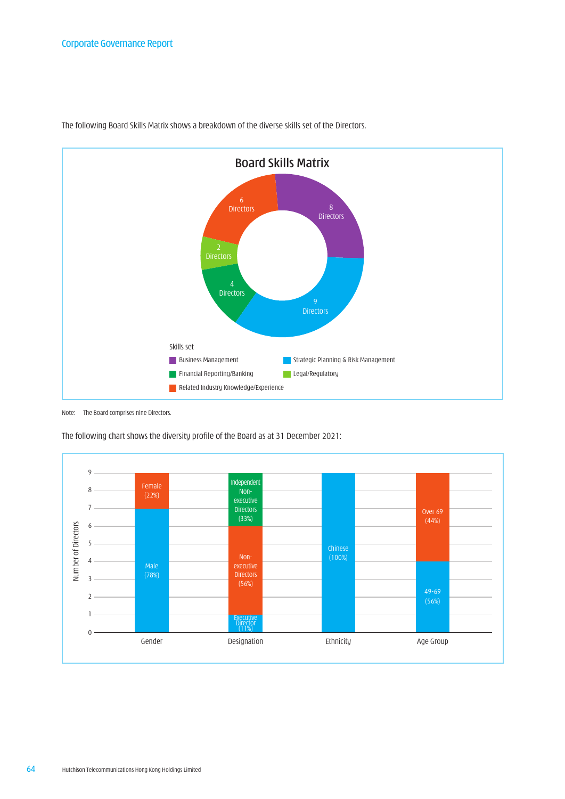

The following Board Skills Matrix shows a breakdown of the diverse skills set of the Directors.

Note: The Board comprises nine Directors.

The following chart shows the diversity profile of the Board as at 31 December 2021:

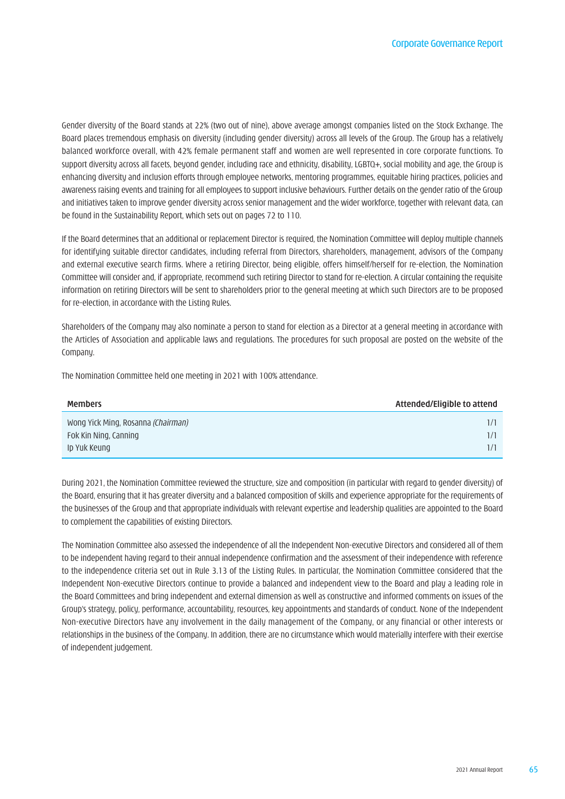Gender diversity of the Board stands at 22% (two out of nine), above average amongst companies listed on the Stock Exchange. The Board places tremendous emphasis on diversity (including gender diversity) across all levels of the Group. The Group has a relatively balanced workforce overall, with 42% female permanent staff and women are well represented in core corporate functions. To support diversity across all facets, beyond gender, including race and ethnicity, disability, LGBTQ+, social mobility and age, the Group is enhancing diversity and inclusion efforts through employee networks, mentoring programmes, equitable hiring practices, policies and awareness raising events and training for all employees to support inclusive behaviours. Further details on the gender ratio of the Group and initiatives taken to improve gender diversity across senior management and the wider workforce, together with relevant data, can be found in the Sustainability Report, which sets out on pages 72 to 110.

If the Board determines that an additional or replacement Director is required, the Nomination Committee will deploy multiple channels for identifying suitable director candidates, including referral from Directors, shareholders, management, advisors of the Company and external executive search firms. Where a retiring Director, being eligible, offers himself/herself for re-election, the Nomination Committee will consider and, if appropriate, recommend such retiring Director to stand for re-election. A circular containing the requisite information on retiring Directors will be sent to shareholders prior to the general meeting at which such Directors are to be proposed for re-election, in accordance with the Listing Rules.

Shareholders of the Company may also nominate a person to stand for election as a Director at a general meeting in accordance with the Articles of Association and applicable laws and regulations. The procedures for such proposal are posted on the website of the Company.

The Nomination Committee held one meeting in 2021 with 100% attendance.

| <b>Members</b>                                                                     | Attended/Eligible to attend |
|------------------------------------------------------------------------------------|-----------------------------|
| Wong Yick Ming, Rosanna <i>(Chairman)</i><br>Fok Kin Ning, Canning<br>Ip Yuk Keung |                             |

During 2021, the Nomination Committee reviewed the structure, size and composition (in particular with regard to gender diversity) of the Board, ensuring that it has greater diversity and a balanced composition of skills and experience appropriate for the requirements of the businesses of the Group and that appropriate individuals with relevant expertise and leadership qualities are appointed to the Board to complement the capabilities of existing Directors.

The Nomination Committee also assessed the independence of all the Independent Non-executive Directors and considered all of them to be independent having regard to their annual independence confirmation and the assessment of their independence with reference to the independence criteria set out in Rule 3.13 of the Listing Rules. In particular, the Nomination Committee considered that the Independent Non-executive Directors continue to provide a balanced and independent view to the Board and play a leading role in the Board Committees and bring independent and external dimension as well as constructive and informed comments on issues of the Group's strategy, policy, performance, accountability, resources, key appointments and standards of conduct. None of the Independent Non-executive Directors have any involvement in the daily management of the Company, or any financial or other interests or relationships in the business of the Company. In addition, there are no circumstance which would materially interfere with their exercise of independent judgement.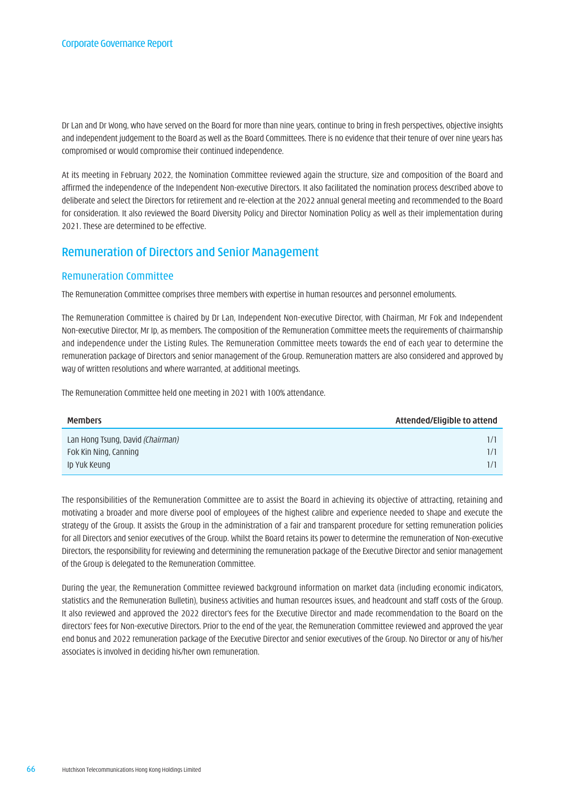Dr Lan and Dr Wong, who have served on the Board for more than nine years, continue to bring in fresh perspectives, objective insights and independent judgement to the Board as well as the Board Committees. There is no evidence that their tenure of over nine years has compromised or would compromise their continued independence.

At its meeting in February 2022, the Nomination Committee reviewed again the structure, size and composition of the Board and affirmed the independence of the Independent Non-executive Directors. It also facilitated the nomination process described above to deliberate and select the Directors for retirement and re-election at the 2022 annual general meeting and recommended to the Board for consideration. It also reviewed the Board Diversity Policy and Director Nomination Policy as well as their implementation during 2021. These are determined to be effective.

# Remuneration of Directors and Senior Management

# Remuneration Committee

The Remuneration Committee comprises three members with expertise in human resources and personnel emoluments.

The Remuneration Committee is chaired by Dr Lan, Independent Non-executive Director, with Chairman, Mr Fok and Independent Non-executive Director, Mr Ip, as members. The composition of the Remuneration Committee meets the requirements of chairmanship and independence under the Listing Rules. The Remuneration Committee meets towards the end of each year to determine the remuneration package of Directors and senior management of the Group. Remuneration matters are also considered and approved by way of written resolutions and where warranted, at additional meetings.

The Remuneration Committee held one meeting in 2021 with 100% attendance.

| <b>Members</b>                   | Attended/Eligible to attend |
|----------------------------------|-----------------------------|
| Lan Hong Tsung, David (Chairman) |                             |
| Fok Kin Ning, Canning            |                             |
| Ip Yuk Keung                     |                             |

The responsibilities of the Remuneration Committee are to assist the Board in achieving its objective of attracting, retaining and motivating a broader and more diverse pool of employees of the highest calibre and experience needed to shape and execute the strategy of the Group. It assists the Group in the administration of a fair and transparent procedure for setting remuneration policies for all Directors and senior executives of the Group. Whilst the Board retains its power to determine the remuneration of Non-executive Directors, the responsibility for reviewing and determining the remuneration package of the Executive Director and senior management of the Group is delegated to the Remuneration Committee.

During the year, the Remuneration Committee reviewed background information on market data (including economic indicators, statistics and the Remuneration Bulletin), business activities and human resources issues, and headcount and staff costs of the Group. It also reviewed and approved the 2022 director's fees for the Executive Director and made recommendation to the Board on the directors' fees for Non-executive Directors. Prior to the end of the year, the Remuneration Committee reviewed and approved the year end bonus and 2022 remuneration package of the Executive Director and senior executives of the Group. No Director or any of his/her associates is involved in deciding his/her own remuneration.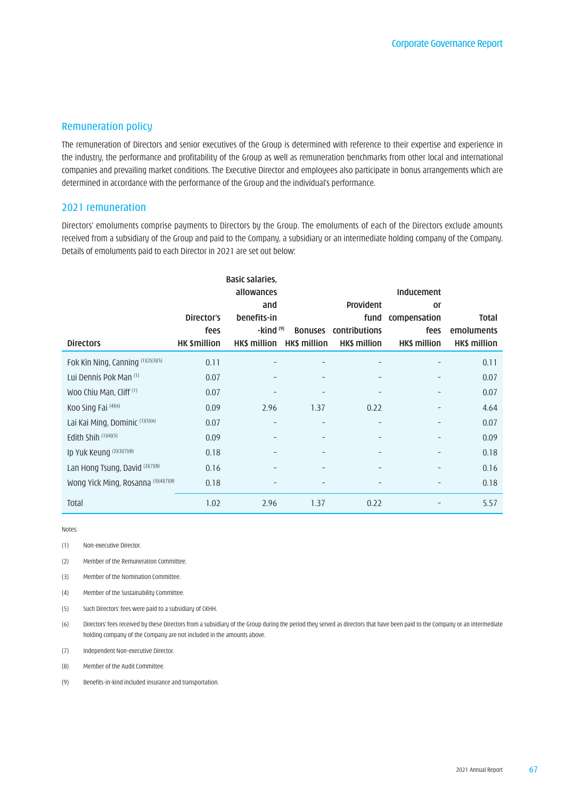#### Remuneration policy

The remuneration of Directors and senior executives of the Group is determined with reference to their expertise and experience in the industry, the performance and profitability of the Group as well as remuneration benchmarks from other local and international companies and prevailing market conditions. The Executive Director and employees also participate in bonus arrangements which are determined in accordance with the performance of the Group and the individual's performance.

#### 2021 remuneration

Directors' emoluments comprise payments to Directors by the Group. The emoluments of each of the Directors exclude amounts received from a subsidiary of the Group and paid to the Company, a subsidiary or an intermediate holding company of the Company. Details of emoluments paid to each Director in 2021 are set out below:

|                                      |                     | allowances<br>and        |                          | <b>Provident</b>             | <b>Inducement</b><br>or |                     |
|--------------------------------------|---------------------|--------------------------|--------------------------|------------------------------|-------------------------|---------------------|
|                                      | Director's          | benefits-in              |                          | fund                         | compensation            | Total               |
|                                      | fees                | $-kind(9)$               |                          | <b>Bonuses</b> contributions | fees                    | emoluments          |
| <b>Directors</b>                     | <b>HK \$million</b> | HK\$ million             | HK\$ million             | <b>HK\$ million</b>          | <b>HK\$ million</b>     | <b>HK\$ million</b> |
| Fok Kin Ning, Canning (1)(2)(3)(5)   | 0.11                |                          |                          |                              |                         | 0.11                |
| Lui Dennis Pok Man (1)               | 0.07                |                          |                          |                              |                         | 0.07                |
| Woo Chiu Man, Cliff (1)              | 0.07                |                          |                          |                              |                         | 0.07                |
| Koo Sing Fai (4)(6)                  | 0.09                | 2.96                     | 1.37                     | 0.22                         |                         | 4.64                |
| Lai Kai Ming, Dominic (1)(5)(6)      | 0.07                | $\overline{\phantom{a}}$ | $\overline{\phantom{a}}$ | $\overline{\phantom{a}}$     |                         | 0.07                |
| Edith Shih (1)(4)(5)                 | 0.09                |                          |                          |                              |                         | 0.09                |
| Ip Yuk Keung (2)(3)(7)(8)            | 0.18                |                          |                          |                              |                         | 0.18                |
| Lan Hong Tsung, David (2)(7)(8)      | 0.16                |                          |                          |                              |                         | 0.16                |
| Wong Yick Ming, Rosanna (3)(4)(7)(8) | 0.18                |                          |                          |                              |                         | 0.18                |
| <b>Total</b>                         | 1.02                | 2.96                     | 1.37                     | 0.22                         |                         | 5.57                |

Notes:

(1) Non-executive Director.

(2) Member of the Remuneration Committee.

(3) Member of the Nomination Committee.

(4) Member of the Sustainability Committee.

(5) Such Directors' fees were paid to a subsidiary of CKHH.

(6) Directors' fees received by these Directors from a subsidiary of the Group during the period they served as directors that have been paid to the Company or an intermediate holding company of the Company are not included in the amounts above.

(7) Independent Non-executive Director.

(8) Member of the Audit Committee.

(9) Benefits-in-kind included insurance and transportation.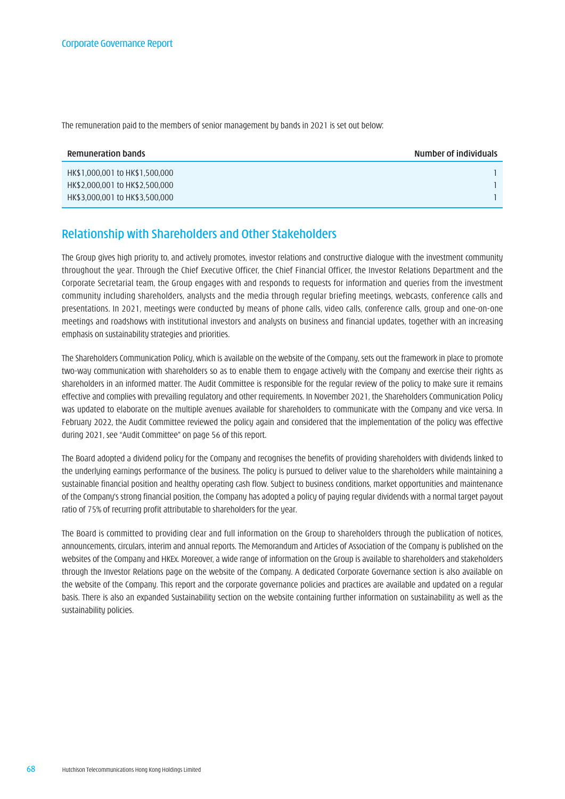The remuneration paid to the members of senior management by bands in 2021 is set out below:

| <b>Remuneration bands</b>      | Number of individuals |
|--------------------------------|-----------------------|
| HK\$1,000,001 to HK\$1,500,000 |                       |
| HK\$2,000,001 to HK\$2,500,000 |                       |
| HK\$3,000,001 to HK\$3,500,000 |                       |

# Relationship with Shareholders and Other Stakeholders

The Group gives high priority to, and actively promotes, investor relations and constructive dialogue with the investment community throughout the year. Through the Chief Executive Officer, the Chief Financial Officer, the Investor Relations Department and the Corporate Secretarial team, the Group engages with and responds to requests for information and queries from the investment community including shareholders, analysts and the media through regular briefing meetings, webcasts, conference calls and presentations. In 2021, meetings were conducted by means of phone calls, video calls, conference calls, group and one-on-one meetings and roadshows with institutional investors and analysts on business and financial updates, together with an increasing emphasis on sustainability strategies and priorities.

The Shareholders Communication Policy, which is available on the website of the Company, sets out the framework in place to promote two-way communication with shareholders so as to enable them to engage actively with the Company and exercise their rights as shareholders in an informed matter. The Audit Committee is responsible for the regular review of the policy to make sure it remains effective and complies with prevailing regulatory and other requirements. In November 2021, the Shareholders Communication Policy was updated to elaborate on the multiple avenues available for shareholders to communicate with the Company and vice versa. In February 2022, the Audit Committee reviewed the policy again and considered that the implementation of the policy was effective during 2021, see "Audit Committee" on page 56 of this report.

The Board adopted a dividend policy for the Company and recognises the benefits of providing shareholders with dividends linked to the underlying earnings performance of the business. The policy is pursued to deliver value to the shareholders while maintaining a sustainable financial position and healthy operating cash flow. Subject to business conditions, market opportunities and maintenance of the Company's strong financial position, the Company has adopted a policy of paying regular dividends with a normal target payout ratio of 75% of recurring profit attributable to shareholders for the year.

The Board is committed to providing clear and full information on the Group to shareholders through the publication of notices, announcements, circulars, interim and annual reports. The Memorandum and Articles of Association of the Company is published on the websites of the Company and HKEx. Moreover, a wide range of information on the Group is available to shareholders and stakeholders through the Investor Relations page on the website of the Company. A dedicated Corporate Governance section is also available on the website of the Company. This report and the corporate governance policies and practices are available and updated on a regular basis. There is also an expanded Sustainability section on the website containing further information on sustainability as well as the sustainability policies.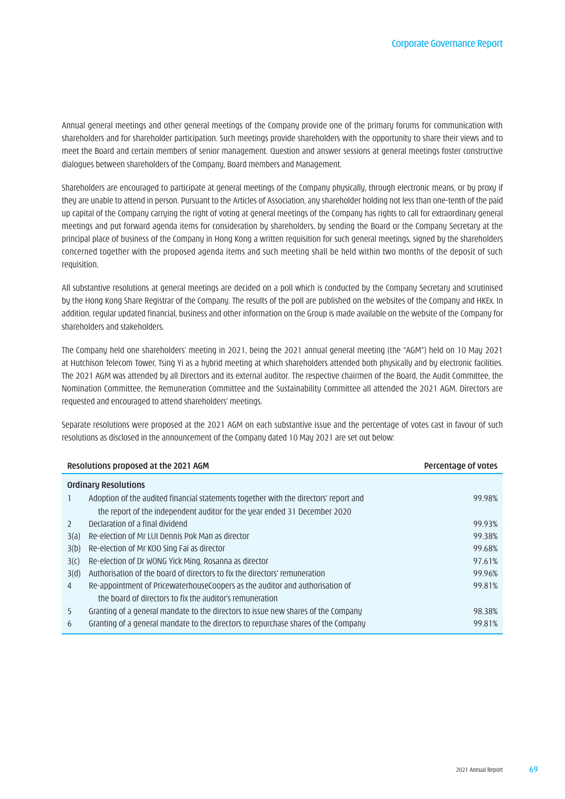Annual general meetings and other general meetings of the Company provide one of the primary forums for communication with shareholders and for shareholder participation. Such meetings provide shareholders with the opportunity to share their views and to meet the Board and certain members of senior management. Question and answer sessions at general meetings foster constructive dialogues between shareholders of the Company, Board members and Management.

Shareholders are encouraged to participate at general meetings of the Company physically, through electronic means, or by proxy if they are unable to attend in person. Pursuant to the Articles of Association, any shareholder holding not less than one-tenth of the paid up capital of the Company carrying the right of voting at general meetings of the Company has rights to call for extraordinary general meetings and put forward agenda items for consideration by shareholders, by sending the Board or the Company Secretary at the principal place of business of the Company in Hong Kong a written requisition for such general meetings, signed by the shareholders concerned together with the proposed agenda items and such meeting shall be held within two months of the deposit of such requisition.

All substantive resolutions at general meetings are decided on a poll which is conducted by the Company Secretary and scrutinised by the Hong Kong Share Registrar of the Company. The results of the poll are published on the websites of the Company and HKEx. In addition, regular updated financial, business and other information on the Group is made available on the website of the Company for shareholders and stakeholders.

The Company held one shareholders' meeting in 2021, being the 2021 annual general meeting (the "AGM") held on 10 May 2021 at Hutchison Telecom Tower, Tsing Yi as a hybrid meeting at which shareholders attended both physically and by electronic facilities. The 2021 AGM was attended by all Directors and its external auditor. The respective chairmen of the Board, the Audit Committee, the Nomination Committee, the Remuneration Committee and the Sustainability Committee all attended the 2021 AGM. Directors are requested and encouraged to attend shareholders' meetings.

Separate resolutions were proposed at the 2021 AGM on each substantive issue and the percentage of votes cast in favour of such resolutions as disclosed in the announcement of the Company dated 10 May 2021 are set out below:

|                  | Resolutions proposed at the 2021 AGM                                                 | Percentage of votes |
|------------------|--------------------------------------------------------------------------------------|---------------------|
|                  | <b>Ordinary Resolutions</b>                                                          |                     |
|                  | Adoption of the audited financial statements together with the directors' report and | 99.98%              |
|                  | the report of the independent auditor for the year ended 31 December 2020            |                     |
| $\mathcal{L}$    | Declaration of a final dividend                                                      | 99.93%              |
| 3(a)             | Re-election of Mr LUI Dennis Pok Man as director                                     | 99.38%              |
| 3(b)             | Re-election of Mr KOO Sing Fai as director                                           | 99.68%              |
| 3 <sub>(c)</sub> | Re-election of Dr WONG Yick Ming, Rosanna as director                                | 97.61%              |
| 3(d)             | Authorisation of the board of directors to fix the directors' remuneration           | 99.96%              |
| 4                | Re-appointment of PricewaterhouseCoopers as the auditor and authorisation of         | 99.81%              |
|                  | the board of directors to fix the auditor's remuneration                             |                     |
| 5                | Granting of a general mandate to the directors to issue new shares of the Company    | 98.38%              |
| 6                | Granting of a general mandate to the directors to repurchase shares of the Company   | 99.81%              |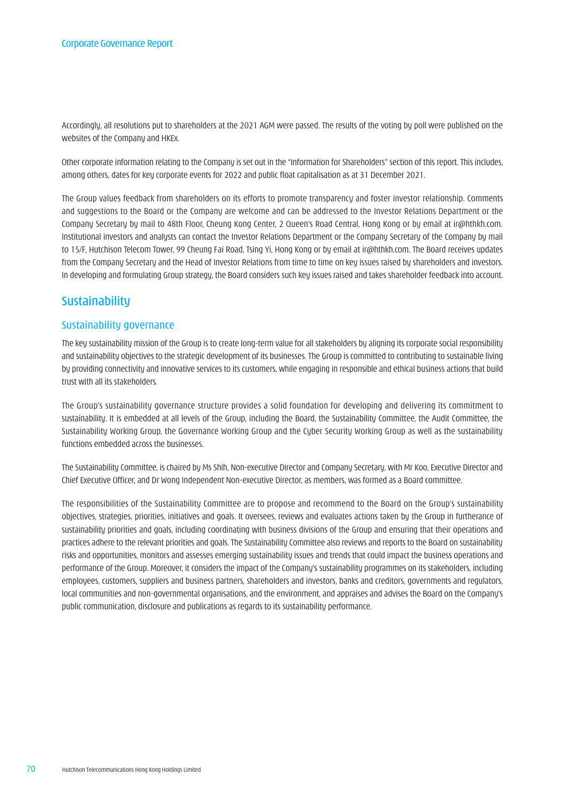Accordingly, all resolutions put to shareholders at the 2021 AGM were passed. The results of the voting by poll were published on the websites of the Company and HKEx.

Other corporate information relating to the Company is set out in the "Information for Shareholders" section of this report. This includes, among others, dates for key corporate events for 2022 and public float capitalisation as at 31 December 2021.

The Group values feedback from shareholders on its efforts to promote transparency and foster investor relationship. Comments and suggestions to the Board or the Company are welcome and can be addressed to the Investor Relations Department or the Company Secretary by mail to 48th Floor, Cheung Kong Center, 2 Queen's Road Central, Hong Kong or by email at [ir@hthkh.com](mailto:ir%40hthkh.com?subject=). Institutional investors and analysts can contact the Investor Relations Department or the Company Secretary of the Company by mail to 15/F, Hutchison Telecom Tower, 99 Cheung Fai Road, Tsing Yi, Hong Kong or by email at [ir@hthkh.com.](mailto:ir%40hthkh.com?subject=) The Board receives updates from the Company Secretary and the Head of Investor Relations from time to time on key issues raised by shareholders and investors. In developing and formulating Group strategy, the Board considers such key issues raised and takes shareholder feedback into account.

# Sustainability

# Sustainability governance

The key sustainability mission of the Group is to create long-term value for all stakeholders by aligning its corporate social responsibility and sustainability objectives to the strategic development of its businesses. The Group is committed to contributing to sustainable living by providing connectivity and innovative services to its customers, while engaging in responsible and ethical business actions that build trust with all its stakeholders.

The Group's sustainability governance structure provides a solid foundation for developing and delivering its commitment to sustainability. It is embedded at all levels of the Group, including the Board, the Sustainability Committee, the Audit Committee, the Sustainability Working Group, the Governance Working Group and the Cyber Security Working Group as well as the sustainability functions embedded across the businesses.

The Sustainability Committee, is chaired by Ms Shih, Non-executive Director and Company Secretary, with Mr Koo, Executive Director and Chief Executive Officer, and Dr Wong Independent Non-executive Director, as members, was formed as a Board committee.

The responsibilities of the Sustainability Committee are to propose and recommend to the Board on the Group's sustainability objectives, strategies, priorities, initiatives and goals. It oversees, reviews and evaluates actions taken by the Group in furtherance of sustainability priorities and goals, including coordinating with business divisions of the Group and ensuring that their operations and practices adhere to the relevant priorities and goals. The Sustainability Committee also reviews and reports to the Board on sustainability risks and opportunities, monitors and assesses emerging sustainability issues and trends that could impact the business operations and performance of the Group. Moreover, it considers the impact of the Company's sustainability programmes on its stakeholders, including employees, customers, suppliers and business partners, shareholders and investors, banks and creditors, governments and regulators, local communities and non-governmental organisations, and the environment, and appraises and advises the Board on the Company's public communication, disclosure and publications as regards to its sustainability performance.